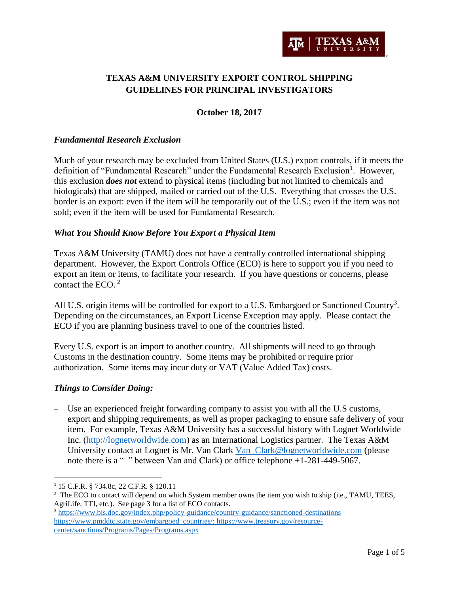

# **TEXAS A&M UNIVERSITY EXPORT CONTROL SHIPPING GUIDELINES FOR PRINCIPAL INVESTIGATORS**

## **October 18, 2017**

### *Fundamental Research Exclusion*

Much of your research may be excluded from United States (U.S.) export controls, if it meets the definition of "Fundamental Research" under the Fundamental Research Exclusion<sup>1</sup>. However, this exclusion *does not* extend to physical items (including but not limited to chemicals and biologicals) that are shipped, mailed or carried out of the U.S. Everything that crosses the U.S. border is an export: even if the item will be temporarily out of the U.S.; even if the item was not sold; even if the item will be used for Fundamental Research.

### *What You Should Know Before You Export a Physical Item*

Texas A&M University (TAMU) does not have a centrally controlled international shipping department. However, the Export Controls Office (ECO) is here to support you if you need to export an item or items, to facilitate your research. If you have questions or concerns, please contact the ECO. 2

All U.S. origin items will be controlled for export to a U.S. Embargoed or Sanctioned Country<sup>3</sup>. Depending on the circumstances, an Export License Exception may apply. Please contact the ECO if you are planning business travel to one of the countries listed.

Every U.S. export is an import to another country. All shipments will need to go through Customs in the destination country. Some items may be prohibited or require prior authorization. Some items may incur duty or VAT (Value Added Tax) costs.

### *Things to Consider Doing:*

 Use an experienced freight forwarding company to assist you with all the U.S customs, export and shipping requirements, as well as proper packaging to ensure safe delivery of your item. For example, Texas A&M University has a successful history with Lognet Worldwide Inc. [\(http://lognetworldwide.com\)](http://lognetworldwide.com/) as an International Logistics partner. The Texas A&M University contact at Lognet is Mr. Van Clark [Van\\_Clark@lognetworldwide.com](mailto:Van_Clark@lognetworldwide.com) (please note there is a "\_" between Van and Clark) or office telephone +1-281-449-5067.

l

<sup>1</sup> 15 C.F.R. § 734.8c, 22 C.F.R. § 120.11

<sup>&</sup>lt;sup>2</sup> The ECO to contact will depend on which System member owns the item you wish to ship (i.e., TAMU, TEES, AgriLife, TTI, etc.). See page 3 for a list of ECO contacts.

<sup>3</sup> <https://www.bis.doc.gov/index.php/policy-guidance/country-guidance/sanctioned-destinations> [https://www.pmddtc.state.gov/embargoed\\_countries/;](https://www.pmddtc.state.gov/embargoed_countries/) https://www.treasury.gov/resourcecenter/sanctions/Programs/Pages/Programs.aspx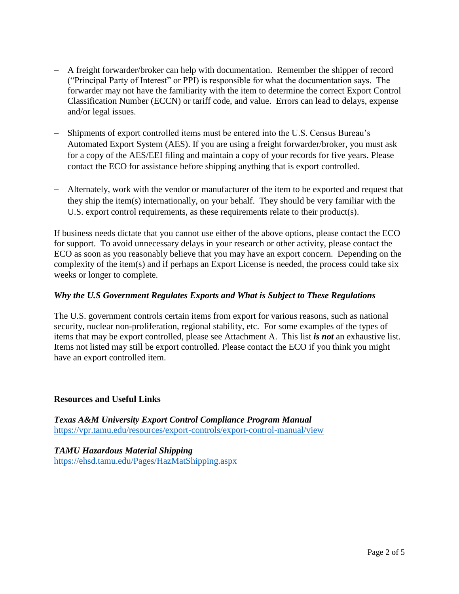- A freight forwarder/broker can help with documentation. Remember the shipper of record ("Principal Party of Interest" or PPI) is responsible for what the documentation says. The forwarder may not have the familiarity with the item to determine the correct Export Control Classification Number (ECCN) or tariff code, and value. Errors can lead to delays, expense and/or legal issues.
- Shipments of export controlled items must be entered into the U.S. Census Bureau's Automated Export System (AES). If you are using a freight forwarder/broker, you must ask for a copy of the AES/EEI filing and maintain a copy of your records for five years. Please contact the ECO for assistance before shipping anything that is export controlled.
- Alternately, work with the vendor or manufacturer of the item to be exported and request that they ship the item(s) internationally, on your behalf. They should be very familiar with the U.S. export control requirements, as these requirements relate to their product(s).

If business needs dictate that you cannot use either of the above options, please contact the ECO for support. To avoid unnecessary delays in your research or other activity, please contact the ECO as soon as you reasonably believe that you may have an export concern. Depending on the complexity of the item(s) and if perhaps an Export License is needed, the process could take six weeks or longer to complete.

# *Why the U.S Government Regulates Exports and What is Subject to These Regulations*

The U.S. government controls certain items from export for various reasons, such as national security, nuclear non-proliferation, regional stability, etc. For some examples of the types of items that may be export controlled, please see Attachment A. This list *is not* an exhaustive list. Items not listed may still be export controlled. Please contact the ECO if you think you might have an export controlled item.

## **Resources and Useful Links**

*Texas A&M University Export Control Compliance Program Manual*  <https://vpr.tamu.edu/resources/export-controls/export-control-manual/view>

*TAMU Hazardous Material Shipping* https://ehsd.tamu.edu/Pages/HazMatShipping.aspx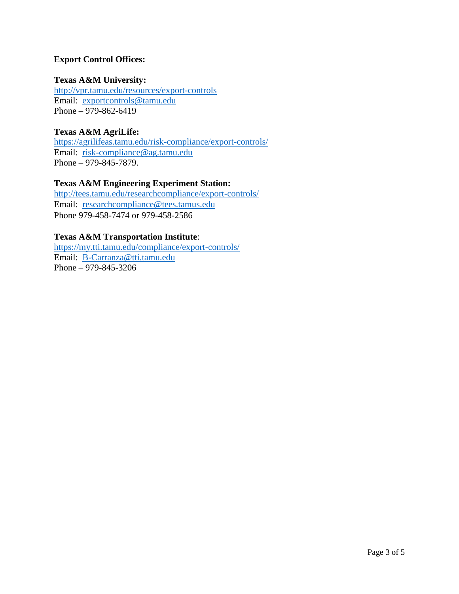## **Export Control Offices:**

## **Texas A&M University:**

<http://vpr.tamu.edu/resources/export-controls> Email: [exportcontrols@tamu.edu](mailto:exportcontrols@tamu.edu) Phone – 979-862-6419

## **Texas A&M AgriLife:**

<https://agrilifeas.tamu.edu/risk-compliance/export-controls/> Email: [risk-compliance@ag.tamu.edu](mailto:risk-compliance@ag.tamu.edu) Phone – 979-845-7879.

# **Texas A&M Engineering Experiment Station:**

<http://tees.tamu.edu/researchcompliance/export-controls/> Email: [researchcompliance@tees.tamus.edu](mailto:researchcompliance@tees.tamus.edu) Phone 979-458-7474 or 979-458-2586

## **Texas A&M Transportation Institute**:

<https://my.tti.tamu.edu/compliance/export-controls/> Email: [B-Carranza@tti.tamu.edu](mailto:B-Carranza@tti.tamu.edu) Phone – 979-845-3206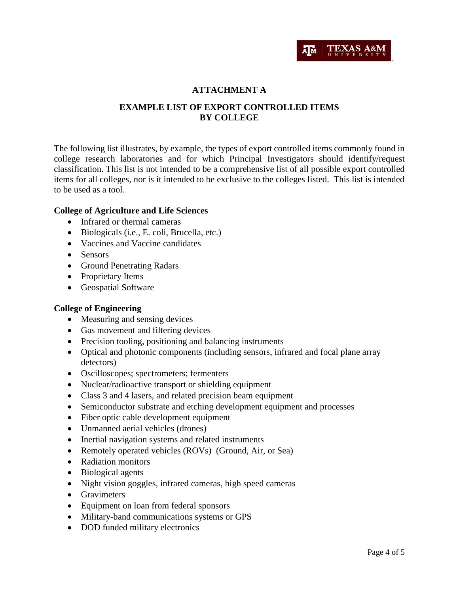

## **ATTACHMENT A**

## **EXAMPLE LIST OF EXPORT CONTROLLED ITEMS BY COLLEGE**

The following list illustrates, by example, the types of export controlled items commonly found in college research laboratories and for which Principal Investigators should identify/request classification. This list is not intended to be a comprehensive list of all possible export controlled items for all colleges, nor is it intended to be exclusive to the colleges listed. This list is intended to be used as a tool.

### **College of Agriculture and Life Sciences**

- Infrared or thermal cameras
- Biologicals (i.e., E. coli, Brucella, etc.)
- Vaccines and Vaccine candidates
- Sensors
- Ground Penetrating Radars
- Proprietary Items
- Geospatial Software

### **College of Engineering**

- Measuring and sensing devices
- Gas movement and filtering devices
- Precision tooling, positioning and balancing instruments
- Optical and photonic components (including sensors, infrared and focal plane array detectors)
- Oscilloscopes; spectrometers; fermenters
- Nuclear/radioactive transport or shielding equipment
- Class 3 and 4 lasers, and related precision beam equipment
- Semiconductor substrate and etching development equipment and processes
- Fiber optic cable development equipment
- Unmanned aerial vehicles (drones)
- Inertial navigation systems and related instruments
- Remotely operated vehicles (ROVs) (Ground, Air, or Sea)
- Radiation monitors
- Biological agents
- Night vision goggles, infrared cameras, high speed cameras
- Gravimeters
- Equipment on loan from federal sponsors
- Military-band communications systems or GPS
- DOD funded military electronics